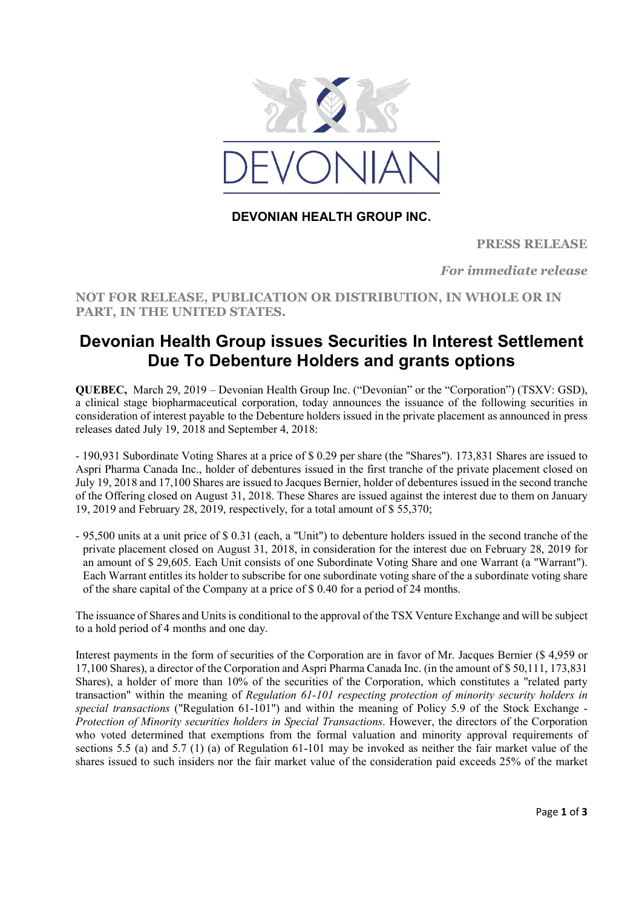

## DEVONIAN HEALTH GROUP INC.

### PRESS RELEASE

For immediate release

NOT FOR RELEASE, PUBLICATION OR DISTRIBUTION, IN WHOLE OR IN PART, IN THE UNITED STATES.

# Devonian Health Group issues Securities In Interest Settlement Due To Debenture Holders and grants options

QUEBEC, March 29, 2019 – Devonian Health Group Inc. ("Devonian" or the "Corporation") (TSXV: GSD), a clinical stage biopharmaceutical corporation, today announces the issuance of the following securities in consideration of interest payable to the Debenture holders issued in the private placement as announced in press releases dated July 19, 2018 and September 4, 2018:

- 190,931 Subordinate Voting Shares at a price of \$ 0.29 per share (the "Shares"). 173,831 Shares are issued to Aspri Pharma Canada Inc., holder of debentures issued in the first tranche of the private placement closed on July 19, 2018 and 17,100 Shares are issued to Jacques Bernier, holder of debentures issued in the second tranche of the Offering closed on August 31, 2018. These Shares are issued against the interest due to them on January 19, 2019 and February 28, 2019, respectively, for a total amount of \$ 55,370;

- 95,500 units at a unit price of \$ 0.31 (each, a "Unit") to debenture holders issued in the second tranche of the private placement closed on August 31, 2018, in consideration for the interest due on February 28, 2019 for an amount of \$ 29,605. Each Unit consists of one Subordinate Voting Share and one Warrant (a "Warrant"). Each Warrant entitles its holder to subscribe for one subordinate voting share of the a subordinate voting share of the share capital of the Company at a price of \$ 0.40 for a period of 24 months.

The issuance of Shares and Units is conditional to the approval of the TSX Venture Exchange and will be subject to a hold period of 4 months and one day.

Interest payments in the form of securities of the Corporation are in favor of Mr. Jacques Bernier (\$ 4,959 or 17,100 Shares), a director of the Corporation and Aspri Pharma Canada Inc. (in the amount of \$ 50,111, 173,831 Shares), a holder of more than 10% of the securities of the Corporation, which constitutes a "related party transaction" within the meaning of Regulation 61-101 respecting protection of minority security holders in special transactions ("Regulation 61-101") and within the meaning of Policy 5.9 of the Stock Exchange - Protection of Minority securities holders in Special Transactions. However, the directors of the Corporation who voted determined that exemptions from the formal valuation and minority approval requirements of sections 5.5 (a) and 5.7 (1) (a) of Regulation 61-101 may be invoked as neither the fair market value of the shares issued to such insiders nor the fair market value of the consideration paid exceeds 25% of the market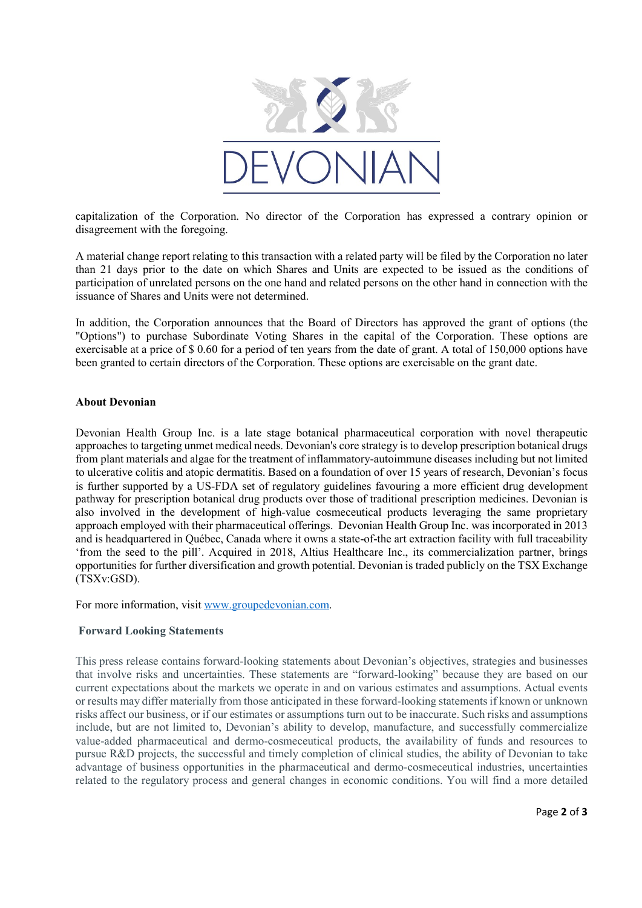

capitalization of the Corporation. No director of the Corporation has expressed a contrary opinion or disagreement with the foregoing.

A material change report relating to this transaction with a related party will be filed by the Corporation no later than 21 days prior to the date on which Shares and Units are expected to be issued as the conditions of participation of unrelated persons on the one hand and related persons on the other hand in connection with the issuance of Shares and Units were not determined.

In addition, the Corporation announces that the Board of Directors has approved the grant of options (the "Options") to purchase Subordinate Voting Shares in the capital of the Corporation. These options are exercisable at a price of \$ 0.60 for a period of ten years from the date of grant. A total of 150,000 options have been granted to certain directors of the Corporation. These options are exercisable on the grant date.

#### About Devonian

Devonian Health Group Inc. is a late stage botanical pharmaceutical corporation with novel therapeutic approaches to targeting unmet medical needs. Devonian's core strategy is to develop prescription botanical drugs from plant materials and algae for the treatment of inflammatory-autoimmune diseases including but not limited to ulcerative colitis and atopic dermatitis. Based on a foundation of over 15 years of research, Devonian's focus is further supported by a US-FDA set of regulatory guidelines favouring a more efficient drug development pathway for prescription botanical drug products over those of traditional prescription medicines. Devonian is also involved in the development of high-value cosmeceutical products leveraging the same proprietary approach employed with their pharmaceutical offerings. Devonian Health Group Inc. was incorporated in 2013 and is headquartered in Québec, Canada where it owns a state-of-the art extraction facility with full traceability 'from the seed to the pill'. Acquired in 2018, Altius Healthcare Inc., its commercialization partner, brings opportunities for further diversification and growth potential. Devonian is traded publicly on the TSX Exchange (TSXv:GSD).

For more information, visit www.groupedevonian.com.

#### Forward Looking Statements

This press release contains forward-looking statements about Devonian's objectives, strategies and businesses that involve risks and uncertainties. These statements are "forward-looking" because they are based on our current expectations about the markets we operate in and on various estimates and assumptions. Actual events or results may differ materially from those anticipated in these forward-looking statements if known or unknown risks affect our business, or if our estimates or assumptions turn out to be inaccurate. Such risks and assumptions include, but are not limited to, Devonian's ability to develop, manufacture, and successfully commercialize value-added pharmaceutical and dermo-cosmeceutical products, the availability of funds and resources to pursue R&D projects, the successful and timely completion of clinical studies, the ability of Devonian to take advantage of business opportunities in the pharmaceutical and dermo-cosmeceutical industries, uncertainties related to the regulatory process and general changes in economic conditions. You will find a more detailed